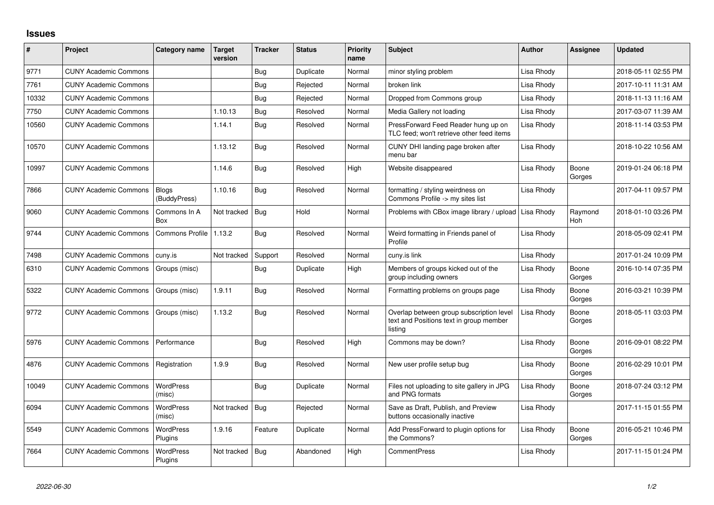## **Issues**

| #     | Project                      | Category name                | Target<br>version | <b>Tracker</b> | <b>Status</b> | <b>Priority</b><br>name | <b>Subject</b>                                                                                 | <b>Author</b> | <b>Assignee</b> | <b>Updated</b>      |
|-------|------------------------------|------------------------------|-------------------|----------------|---------------|-------------------------|------------------------------------------------------------------------------------------------|---------------|-----------------|---------------------|
| 9771  | <b>CUNY Academic Commons</b> |                              |                   | <b>Bug</b>     | Duplicate     | Normal                  | minor styling problem                                                                          | Lisa Rhody    |                 | 2018-05-11 02:55 PM |
| 7761  | <b>CUNY Academic Commons</b> |                              |                   | Bug            | Rejected      | Normal                  | broken link                                                                                    | Lisa Rhody    |                 | 2017-10-11 11:31 AM |
| 10332 | <b>CUNY Academic Commons</b> |                              |                   | <b>Bug</b>     | Rejected      | Normal                  | Dropped from Commons group                                                                     | Lisa Rhody    |                 | 2018-11-13 11:16 AM |
| 7750  | <b>CUNY Academic Commons</b> |                              | 1.10.13           | Bug            | Resolved      | Normal                  | Media Gallery not loading                                                                      | Lisa Rhody    |                 | 2017-03-07 11:39 AM |
| 10560 | <b>CUNY Academic Commons</b> |                              | 1.14.1            | <b>Bug</b>     | Resolved      | Normal                  | PressForward Feed Reader hung up on<br>TLC feed: won't retrieve other feed items               | Lisa Rhody    |                 | 2018-11-14 03:53 PM |
| 10570 | <b>CUNY Academic Commons</b> |                              | 1.13.12           | Bug            | Resolved      | Normal                  | CUNY DHI landing page broken after<br>menu bar                                                 | Lisa Rhody    |                 | 2018-10-22 10:56 AM |
| 10997 | <b>CUNY Academic Commons</b> |                              | 1.14.6            | Bug            | Resolved      | High                    | Website disappeared                                                                            | Lisa Rhody    | Boone<br>Gorges | 2019-01-24 06:18 PM |
| 7866  | <b>CUNY Academic Commons</b> | <b>Blogs</b><br>(BuddyPress) | 1.10.16           | <b>Bug</b>     | Resolved      | Normal                  | formatting / styling weirdness on<br>Commons Profile -> my sites list                          | Lisa Rhody    |                 | 2017-04-11 09:57 PM |
| 9060  | <b>CUNY Academic Commons</b> | Commons In A<br>Box          | Not tracked       | Bug            | Hold          | Normal                  | Problems with CBox image library / upload                                                      | Lisa Rhody    | Raymond<br>Hoh  | 2018-01-10 03:26 PM |
| 9744  | <b>CUNY Academic Commons</b> | <b>Commons Profile</b>       | 1.13.2            | <b>Bug</b>     | Resolved      | Normal                  | Weird formatting in Friends panel of<br>Profile                                                | Lisa Rhody    |                 | 2018-05-09 02:41 PM |
| 7498  | <b>CUNY Academic Commons</b> | cuny.is                      | Not tracked       | Support        | Resolved      | Normal                  | cuny.is link                                                                                   | Lisa Rhody    |                 | 2017-01-24 10:09 PM |
| 6310  | <b>CUNY Academic Commons</b> | Groups (misc)                |                   | <b>Bug</b>     | Duplicate     | High                    | Members of groups kicked out of the<br>group including owners                                  | Lisa Rhody    | Boone<br>Gorges | 2016-10-14 07:35 PM |
| 5322  | <b>CUNY Academic Commons</b> | Groups (misc)                | 1.9.11            | Bug            | Resolved      | Normal                  | Formatting problems on groups page                                                             | Lisa Rhody    | Boone<br>Gorges | 2016-03-21 10:39 PM |
| 9772  | <b>CUNY Academic Commons</b> | Groups (misc)                | 1.13.2            | Bug            | Resolved      | Normal                  | Overlap between group subscription level<br>text and Positions text in group member<br>listing | Lisa Rhody    | Boone<br>Gorges | 2018-05-11 03:03 PM |
| 5976  | <b>CUNY Academic Commons</b> | Performance                  |                   | <b>Bug</b>     | Resolved      | High                    | Commons may be down?                                                                           | Lisa Rhody    | Boone<br>Gorges | 2016-09-01 08:22 PM |
| 4876  | <b>CUNY Academic Commons</b> | Registration                 | 1.9.9             | Bug            | Resolved      | Normal                  | New user profile setup bug                                                                     | Lisa Rhody    | Boone<br>Gorges | 2016-02-29 10:01 PM |
| 10049 | <b>CUNY Academic Commons</b> | WordPress<br>(misc)          |                   | Bug            | Duplicate     | Normal                  | Files not uploading to site gallery in JPG<br>and PNG formats                                  | Lisa Rhody    | Boone<br>Gorges | 2018-07-24 03:12 PM |
| 6094  | <b>CUNY Academic Commons</b> | <b>WordPress</b><br>(misc)   | Not tracked       | Bug            | Rejected      | Normal                  | Save as Draft, Publish, and Preview<br>buttons occasionally inactive                           | Lisa Rhody    |                 | 2017-11-15 01:55 PM |
| 5549  | <b>CUNY Academic Commons</b> | WordPress<br>Plugins         | 1.9.16            | Feature        | Duplicate     | Normal                  | Add PressForward to plugin options for<br>the Commons?                                         | Lisa Rhody    | Boone<br>Gorges | 2016-05-21 10:46 PM |
| 7664  | <b>CUNY Academic Commons</b> | <b>WordPress</b><br>Plugins  | Not tracked       | Bug            | Abandoned     | High                    | <b>CommentPress</b>                                                                            | Lisa Rhody    |                 | 2017-11-15 01:24 PM |